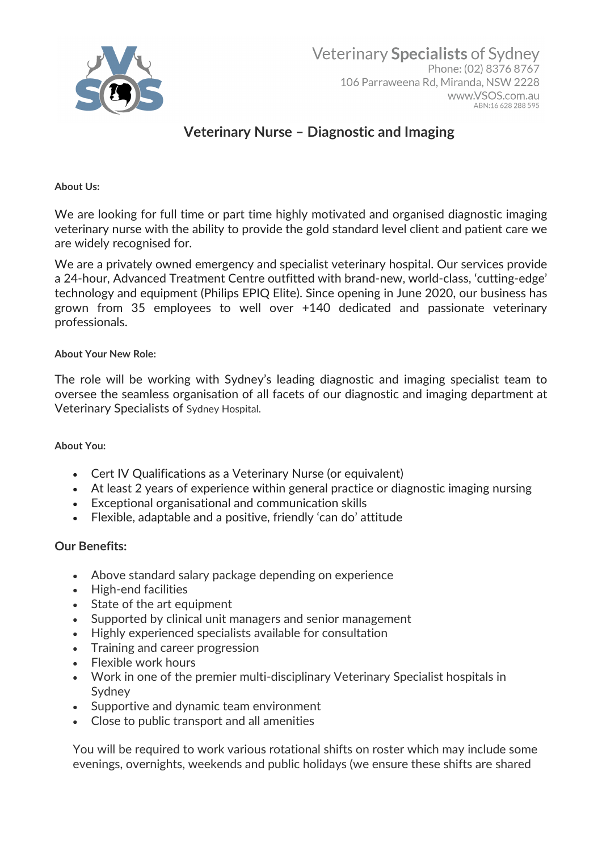

## **Veterinary Nurse – Diagnostic and Imaging**

**About Us:**

We are looking for full time or part time highly motivated and organised diagnostic imaging veterinary nurse with the ability to provide the gold standard level client and patient care we are widely recognised for.

We are a privately owned emergency and specialist veterinary hospital. Our services provide a 24-hour, Advanced Treatment Centre outfitted with brand-new, world-class, 'cutting-edge' technology and equipment (Philips EPIQ Elite). Since opening in June 2020, our business has grown from 35 employees to well over +140 dedicated and passionate veterinary professionals.

## **About Your New Role:**

The role will be working with Sydney's leading diagnostic and imaging specialist team to oversee the seamless organisation of all facets of our diagnostic and imaging department at Veterinary Specialists of Sydney Hospital.

## **About You:**

- Cert IV Qualifications as a Veterinary Nurse (or equivalent)
- At least 2 years of experience within general practice or diagnostic imaging nursing
- Exceptional organisational and communication skills
- Flexible, adaptable and a positive, friendly 'can do' attitude

## **Our Benefits:**

- Above standard salary package depending on experience
- High-end facilities
- State of the art equipment
- Supported by clinical unit managers and senior management
- Highly experienced specialists available for consultation
- Training and career progression
- Flexible work hours
- Work in one of the premier multi-disciplinary Veterinary Specialist hospitals in Sydney
- Supportive and dynamic team environment
- Close to public transport and all amenities

You will be required to work various rotational shifts on roster which may include some evenings, overnights, weekends and public holidays (we ensure these shifts are shared